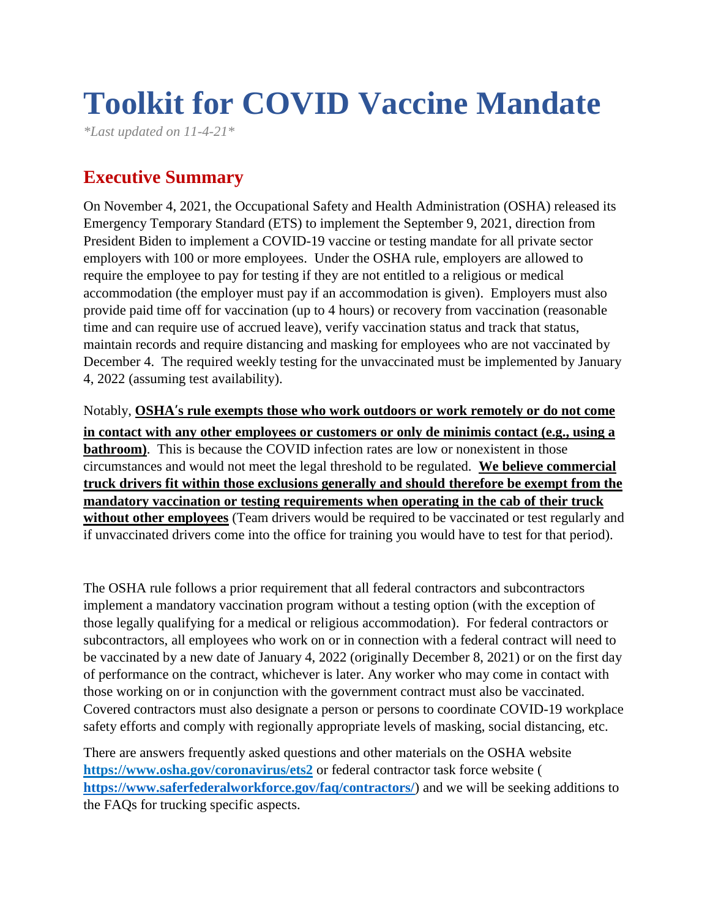# **Toolkit for COVID Vaccine Mandate**

*\*Last updated on 11-4-21\**

# **Executive Summary**

On November 4, 2021, the Occupational Safety and Health Administration (OSHA) released its Emergency Temporary Standard (ETS) to implement the September 9, 2021, direction from President Biden to implement a COVID-19 vaccine or testing mandate for all private sector employers with 100 or more employees. Under the OSHA rule, employers are allowed to require the employee to pay for testing if they are not entitled to a religious or medical accommodation (the employer must pay if an accommodation is given). Employers must also provide paid time off for vaccination (up to 4 hours) or recovery from vaccination (reasonable time and can require use of accrued leave), verify vaccination status and track that status, maintain records and require distancing and masking for employees who are not vaccinated by December 4. The required weekly testing for the unvaccinated must be implemented by January 4, 2022 (assuming test availability).

Notably, **OSHA's rule exempts those who work outdoors or work remotely or do not come in contact with any other employees or customers or only de minimis contact (e.g., using a bathroom**). This is because the COVID infection rates are low or nonexistent in those circumstances and would not meet the legal threshold to be regulated. **We believe commercial truck drivers fit within those exclusions generally and should therefore be exempt from the mandatory vaccination or testing requirements when operating in the cab of their truck without other employees** (Team drivers would be required to be vaccinated or test regularly and if unvaccinated drivers come into the office for training you would have to test for that period).

The OSHA rule follows a prior requirement that all federal contractors and subcontractors implement a mandatory vaccination program without a testing option (with the exception of those legally qualifying for a medical or religious accommodation). For federal contractors or subcontractors, all employees who work on or in connection with a federal contract will need to be vaccinated by a new date of January 4, 2022 (originally December 8, 2021) or on the first day of performance on the contract, whichever is later. Any worker who may come in contact with those working on or in conjunction with the government contract must also be vaccinated. Covered contractors must also designate a person or persons to coordinate COVID-19 workplace safety efforts and comply with regionally appropriate levels of masking, social distancing, etc.

There are answers frequently asked questions and other materials on the OSHA website **<https://www.osha.gov/coronavirus/ets2>** or federal contractor task force website ( **<https://www.saferfederalworkforce.gov/faq/contractors/>**) and we will be seeking additions to the FAQs for trucking specific aspects.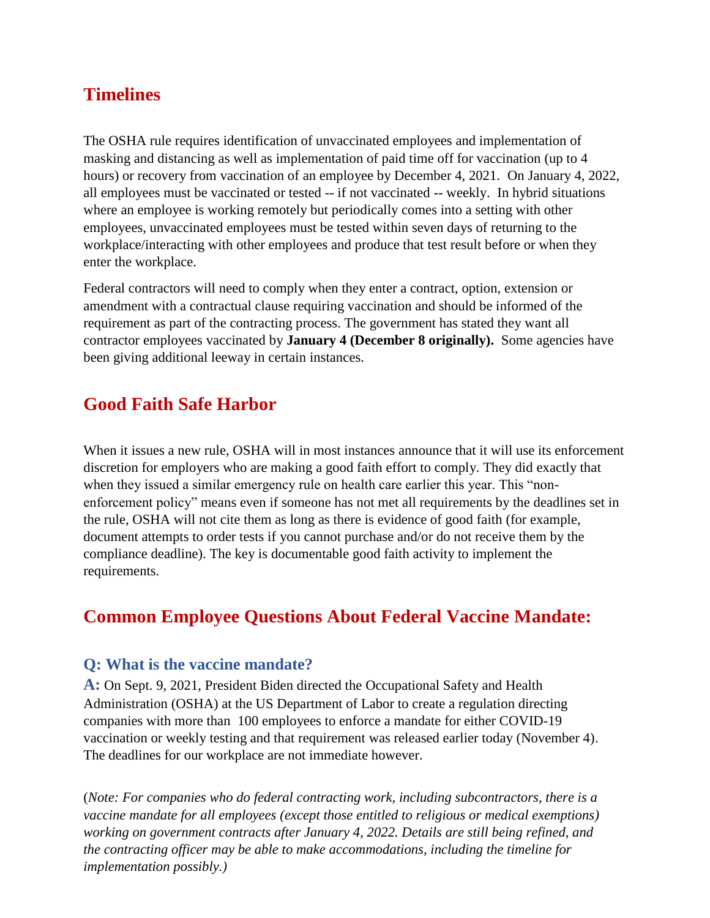# **Timelines**

The OSHA rule requires identification of unvaccinated employees and implementation of masking and distancing as well as implementation of paid time off for vaccination (up to 4 hours) or recovery from vaccination of an employee by December 4, 2021. On January 4, 2022, all employees must be vaccinated or tested -- if not vaccinated -- weekly. In hybrid situations where an employee is working remotely but periodically comes into a setting with other employees, unvaccinated employees must be tested within seven days of returning to the workplace/interacting with other employees and produce that test result before or when they enter the workplace.

Federal contractors will need to comply when they enter a contract, option, extension or amendment with a contractual clause requiring vaccination and should be informed of the requirement as part of the contracting process. The government has stated they want all contractor employees vaccinated by **January 4 (December 8 originally).** Some agencies have been giving additional leeway in certain instances.

# **Good Faith Safe Harbor**

When it issues a new rule, OSHA will in most instances announce that it will use its enforcement discretion for employers who are making a good faith effort to comply. They did exactly that when they issued a similar emergency rule on health care earlier this year. This "nonenforcement policy" means even if someone has not met all requirements by the deadlines set in the rule, OSHA will not cite them as long as there is evidence of good faith (for example, document attempts to order tests if you cannot purchase and/or do not receive them by the compliance deadline). The key is documentable good faith activity to implement the requirements.

# **Common Employee Questions About Federal Vaccine Mandate:**

#### **Q: What is the vaccine mandate?**

**A:** On Sept. 9, 2021, President Biden directed the Occupational Safety and Health Administration (OSHA) at the US Department of Labor to create a regulation directing companies with more than 100 employees to enforce a mandate for either COVID-19 vaccination or weekly testing and that requirement was released earlier today (November 4). The deadlines for our workplace are not immediate however.

(*Note: For companies who do federal contracting work, including subcontractors, there is a vaccine mandate for all employees (except those entitled to religious or medical exemptions) working on government contracts after January 4, 2022. Details are still being refined, and the contracting officer may be able to make accommodations, including the timeline for implementation possibly.)*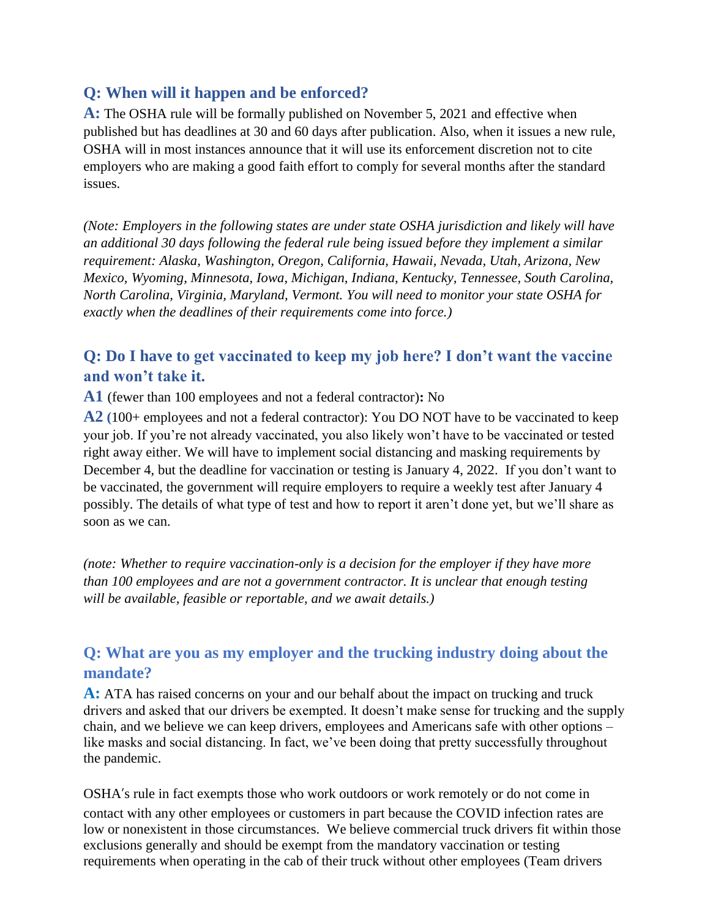#### **Q: When will it happen and be enforced?**

**A:** The OSHA rule will be formally published on November 5, 2021 and effective when published but has deadlines at 30 and 60 days after publication. Also, when it issues a new rule, OSHA will in most instances announce that it will use its enforcement discretion not to cite employers who are making a good faith effort to comply for several months after the standard issues.

*(Note: Employers in the following states are under state OSHA jurisdiction and likely will have an additional 30 days following the federal rule being issued before they implement a similar requirement: Alaska, Washington, Oregon, California, Hawaii, Nevada, Utah, Arizona, New Mexico, Wyoming, Minnesota, Iowa, Michigan, Indiana, Kentucky, Tennessee, South Carolina, North Carolina, Virginia, Maryland, Vermont. You will need to monitor your state OSHA for exactly when the deadlines of their requirements come into force.)*

## **Q: Do I have to get vaccinated to keep my job here? I don't want the vaccine and won't take it.**

**A1** (fewer than 100 employees and not a federal contractor)**:** No

**A2 (**100+ employees and not a federal contractor): You DO NOT have to be vaccinated to keep your job. If you're not already vaccinated, you also likely won't have to be vaccinated or tested right away either. We will have to implement social distancing and masking requirements by December 4, but the deadline for vaccination or testing is January 4, 2022. If you don't want to be vaccinated, the government will require employers to require a weekly test after January 4 possibly. The details of what type of test and how to report it aren't done yet, but we'll share as soon as we can.

*(note: Whether to require vaccination-only is a decision for the employer if they have more than 100 employees and are not a government contractor. It is unclear that enough testing will be available, feasible or reportable, and we await details.)*

# **Q: What are you as my employer and the trucking industry doing about the mandate?**

**A:** ATA has raised concerns on your and our behalf about the impact on trucking and truck drivers and asked that our drivers be exempted. It doesn't make sense for trucking and the supply chain, and we believe we can keep drivers, employees and Americans safe with other options – like masks and social distancing. In fact, we've been doing that pretty successfully throughout the pandemic.

OSHA's rule in fact exempts those who work outdoors or work remotely or do not come in contact with any other employees or customers in part because the COVID infection rates are low or nonexistent in those circumstances. We believe commercial truck drivers fit within those exclusions generally and should be exempt from the mandatory vaccination or testing requirements when operating in the cab of their truck without other employees (Team drivers